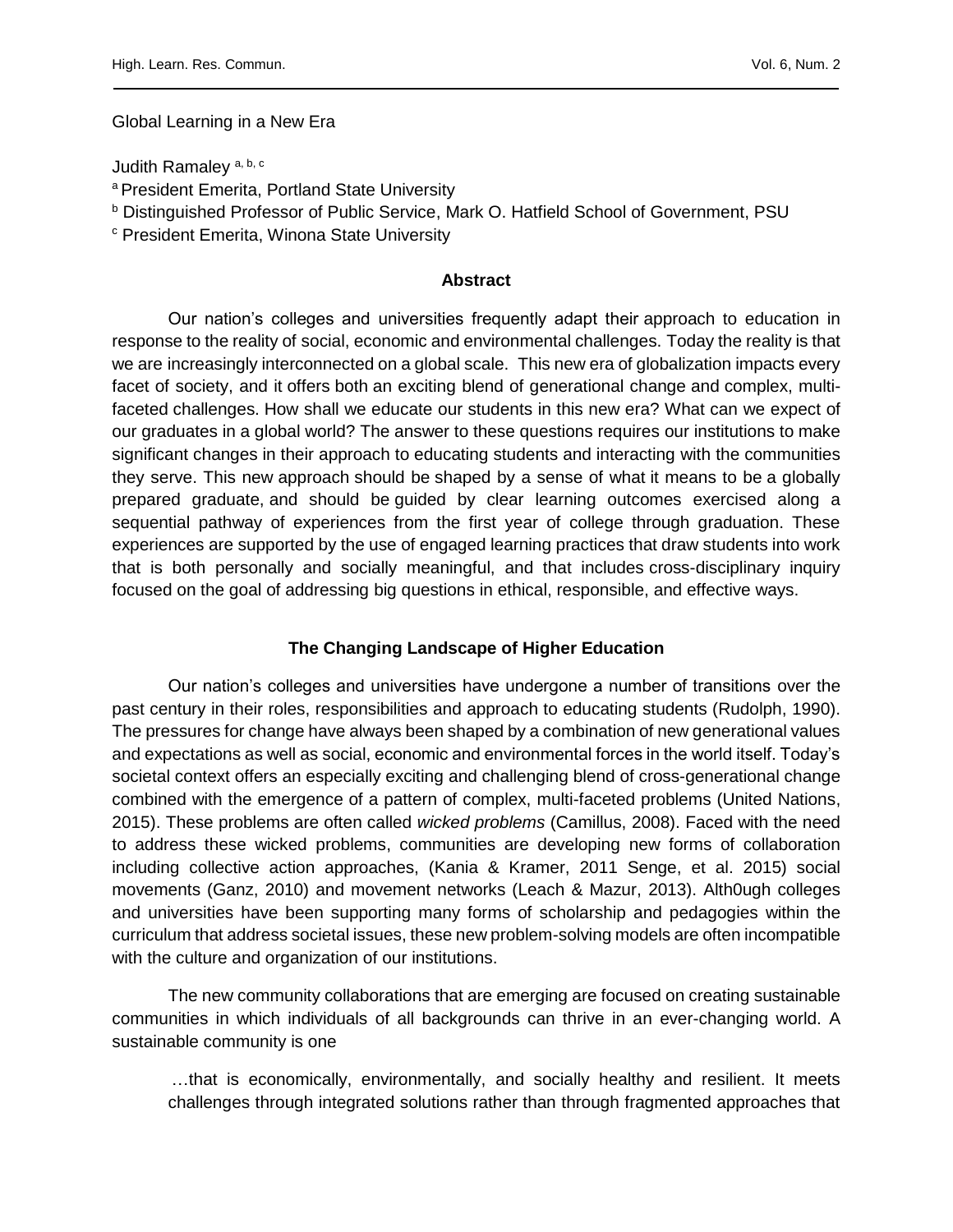Global Learning in a New Era

Judith Ramaley<sup>a, b, c</sup>

- <sup>a</sup> President Emerita, Portland State University
- <sup>b</sup> Distinguished Professor of Public Service, Mark O. Hatfield School of Government, PSU
- <sup>c</sup> President Emerita, Winona State University

### **Abstract**

Our nation's colleges and universities frequently adapt their approach to education in response to the reality of social, economic and environmental challenges. Today the reality is that we are increasingly interconnected on a global scale. This new era of globalization impacts every facet of society, and it offers both an exciting blend of generational change and complex, multifaceted challenges. How shall we educate our students in this new era? What can we expect of our graduates in a global world? The answer to these questions requires our institutions to make significant changes in their approach to educating students and interacting with the communities they serve. This new approach should be shaped by a sense of what it means to be a globally prepared graduate, and should be guided by clear learning outcomes exercised along a sequential pathway of experiences from the first year of college through graduation. These experiences are supported by the use of engaged learning practices that draw students into work that is both personally and socially meaningful, and that includes cross-disciplinary inquiry focused on the goal of addressing big questions in ethical, responsible, and effective ways.

# **The Changing Landscape of Higher Education**

Our nation's colleges and universities have undergone a number of transitions over the past century in their roles, responsibilities and approach to educating students (Rudolph, 1990). The pressures for change have always been shaped by a combination of new generational values and expectations as well as social, economic and environmental forces in the world itself. Today's societal context offers an especially exciting and challenging blend of cross-generational change combined with the emergence of a pattern of complex, multi-faceted problems (United Nations, 2015). These problems are often called *wicked problems* (Camillus, 2008). Faced with the need to address these wicked problems, communities are developing new forms of collaboration including collective action approaches, (Kania & Kramer, 2011 Senge, et al. 2015) social movements (Ganz, 2010) and movement networks (Leach & Mazur, 2013). Alth0ugh colleges and universities have been supporting many forms of scholarship and pedagogies within the curriculum that address societal issues, these new problem-solving models are often incompatible with the culture and organization of our institutions.

The new community collaborations that are emerging are focused on creating sustainable communities in which individuals of all backgrounds can thrive in an ever-changing world. A sustainable community is one

…that is economically, environmentally, and socially healthy and resilient. It meets challenges through integrated solutions rather than through fragmented approaches that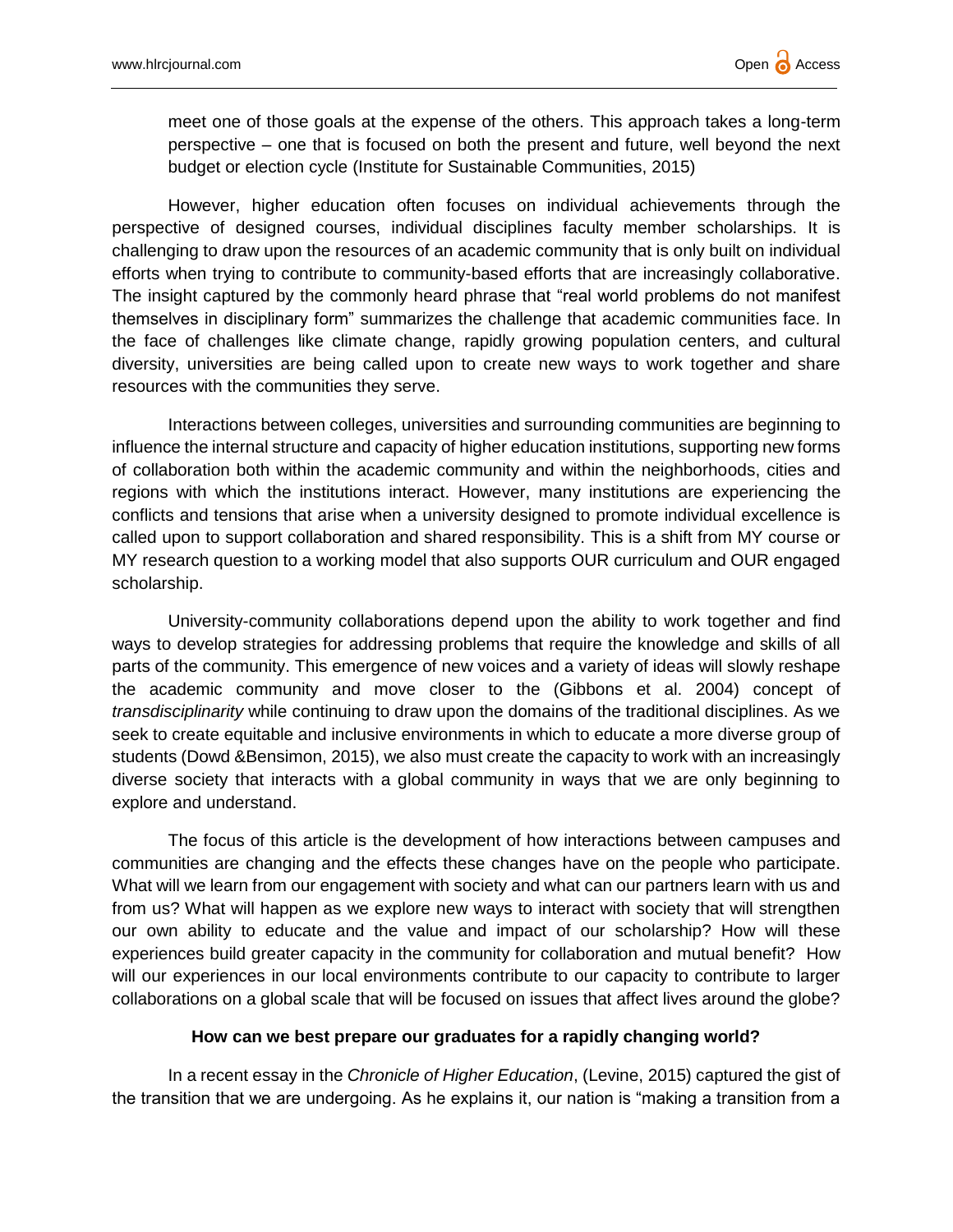meet one of those goals at the expense of the others. This approach takes a long-term perspective – one that is focused on both the present and future, well beyond the next budget or election cycle (Institute for Sustainable Communities, 2015)

However, higher education often focuses on individual achievements through the perspective of designed courses, individual disciplines faculty member scholarships. It is challenging to draw upon the resources of an academic community that is only built on individual efforts when trying to contribute to community-based efforts that are increasingly collaborative. The insight captured by the commonly heard phrase that "real world problems do not manifest themselves in disciplinary form" summarizes the challenge that academic communities face. In the face of challenges like climate change, rapidly growing population centers, and cultural diversity, universities are being called upon to create new ways to work together and share resources with the communities they serve.

Interactions between colleges, universities and surrounding communities are beginning to influence the internal structure and capacity of higher education institutions, supporting new forms of collaboration both within the academic community and within the neighborhoods, cities and regions with which the institutions interact. However, many institutions are experiencing the conflicts and tensions that arise when a university designed to promote individual excellence is called upon to support collaboration and shared responsibility. This is a shift from MY course or MY research question to a working model that also supports OUR curriculum and OUR engaged scholarship.

University-community collaborations depend upon the ability to work together and find ways to develop strategies for addressing problems that require the knowledge and skills of all parts of the community. This emergence of new voices and a variety of ideas will slowly reshape the academic community and move closer to the (Gibbons et al. 2004) concept of *transdisciplinarity* while continuing to draw upon the domains of the traditional disciplines. As we seek to create equitable and inclusive environments in which to educate a more diverse group of students (Dowd &Bensimon, 2015), we also must create the capacity to work with an increasingly diverse society that interacts with a global community in ways that we are only beginning to explore and understand.

The focus of this article is the development of how interactions between campuses and communities are changing and the effects these changes have on the people who participate. What will we learn from our engagement with society and what can our partners learn with us and from us? What will happen as we explore new ways to interact with society that will strengthen our own ability to educate and the value and impact of our scholarship? How will these experiences build greater capacity in the community for collaboration and mutual benefit? How will our experiences in our local environments contribute to our capacity to contribute to larger collaborations on a global scale that will be focused on issues that affect lives around the globe?

## **How can we best prepare our graduates for a rapidly changing world?**

In a recent essay in the *Chronicle of Higher Education*, (Levine, 2015) captured the gist of the transition that we are undergoing. As he explains it, our nation is "making a transition from a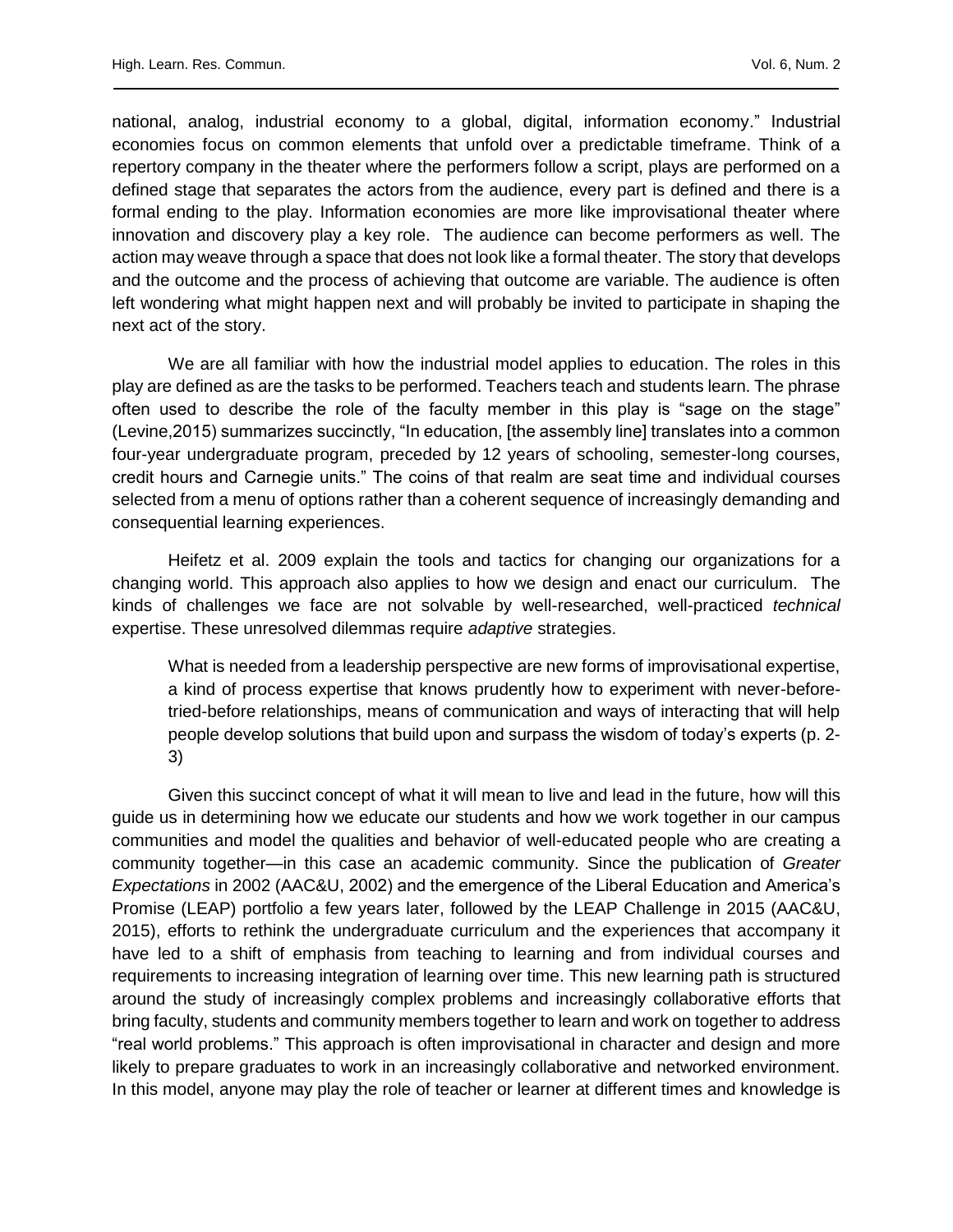national, analog, industrial economy to a global, digital, information economy." Industrial economies focus on common elements that unfold over a predictable timeframe. Think of a repertory company in the theater where the performers follow a script, plays are performed on a defined stage that separates the actors from the audience, every part is defined and there is a formal ending to the play. Information economies are more like improvisational theater where innovation and discovery play a key role. The audience can become performers as well. The action may weave through a space that does not look like a formal theater. The story that develops and the outcome and the process of achieving that outcome are variable. The audience is often left wondering what might happen next and will probably be invited to participate in shaping the next act of the story.

We are all familiar with how the industrial model applies to education. The roles in this play are defined as are the tasks to be performed. Teachers teach and students learn. The phrase often used to describe the role of the faculty member in this play is "sage on the stage" (Levine,2015) summarizes succinctly, "In education, [the assembly line] translates into a common four-year undergraduate program, preceded by 12 years of schooling, semester-long courses, credit hours and Carnegie units." The coins of that realm are seat time and individual courses selected from a menu of options rather than a coherent sequence of increasingly demanding and consequential learning experiences.

Heifetz et al. 2009 explain the tools and tactics for changing our organizations for a changing world. This approach also applies to how we design and enact our curriculum. The kinds of challenges we face are not solvable by well-researched, well-practiced *technical* expertise. These unresolved dilemmas require *adaptive* strategies.

What is needed from a leadership perspective are new forms of improvisational expertise, a kind of process expertise that knows prudently how to experiment with never-beforetried-before relationships, means of communication and ways of interacting that will help people develop solutions that build upon and surpass the wisdom of today's experts (p. 2- 3)

Given this succinct concept of what it will mean to live and lead in the future, how will this guide us in determining how we educate our students and how we work together in our campus communities and model the qualities and behavior of well-educated people who are creating a community together—in this case an academic community. Since the publication of *Greater Expectations* in 2002 (AAC&U, 2002) and the emergence of the Liberal Education and America's Promise (LEAP) portfolio a few years later, followed by the LEAP Challenge in 2015 (AAC&U, 2015), efforts to rethink the undergraduate curriculum and the experiences that accompany it have led to a shift of emphasis from teaching to learning and from individual courses and requirements to increasing integration of learning over time. This new learning path is structured around the study of increasingly complex problems and increasingly collaborative efforts that bring faculty, students and community members together to learn and work on together to address "real world problems." This approach is often improvisational in character and design and more likely to prepare graduates to work in an increasingly collaborative and networked environment. In this model, anyone may play the role of teacher or learner at different times and knowledge is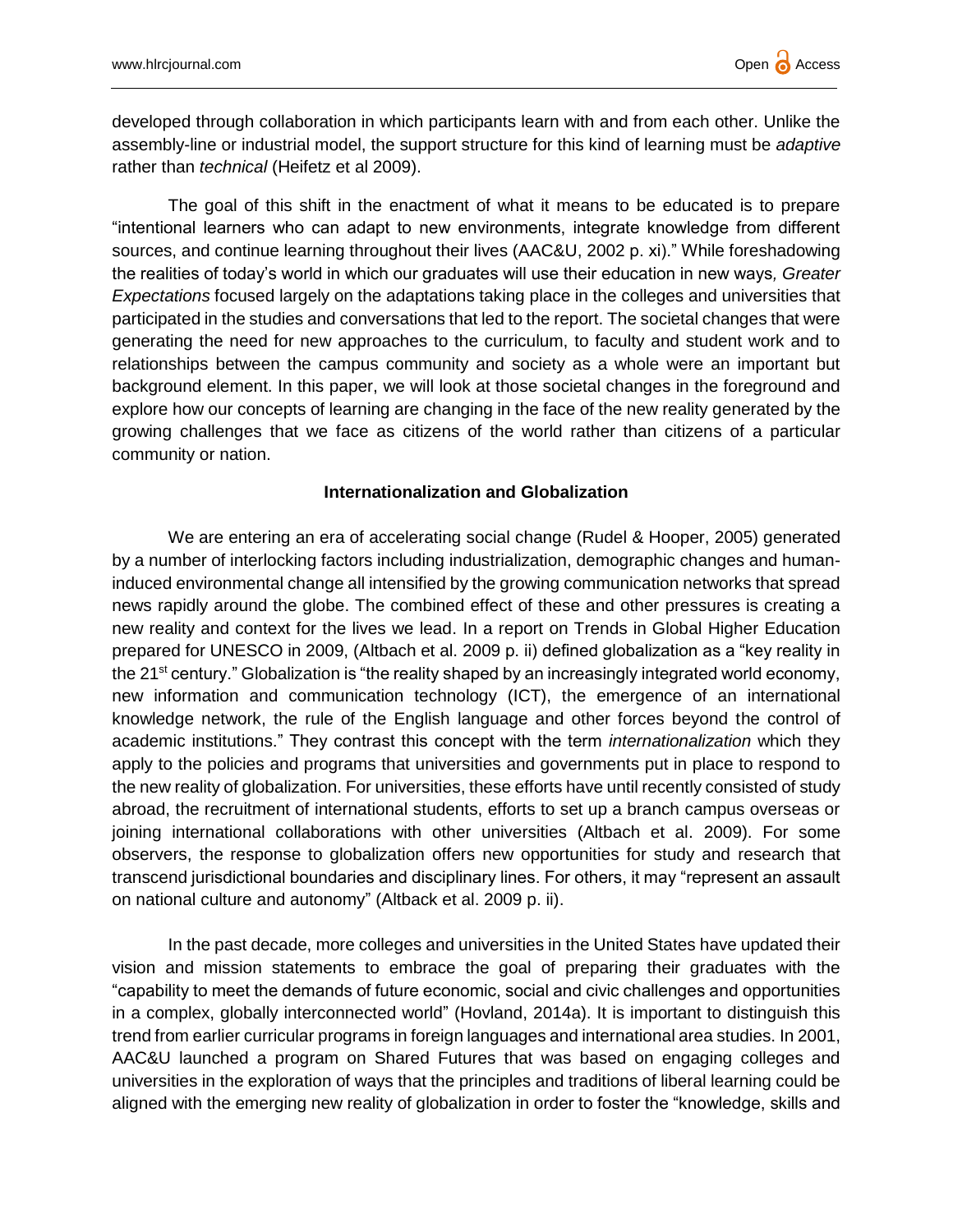developed through collaboration in which participants learn with and from each other. Unlike the assembly-line or industrial model, the support structure for this kind of learning must be *adaptive* rather than *technical* (Heifetz et al 2009).

The goal of this shift in the enactment of what it means to be educated is to prepare "intentional learners who can adapt to new environments, integrate knowledge from different sources, and continue learning throughout their lives (AAC&U, 2002 p. xi)." While foreshadowing the realities of today's world in which our graduates will use their education in new ways*, Greater Expectations* focused largely on the adaptations taking place in the colleges and universities that participated in the studies and conversations that led to the report. The societal changes that were generating the need for new approaches to the curriculum, to faculty and student work and to relationships between the campus community and society as a whole were an important but background element. In this paper, we will look at those societal changes in the foreground and explore how our concepts of learning are changing in the face of the new reality generated by the growing challenges that we face as citizens of the world rather than citizens of a particular community or nation.

## **Internationalization and Globalization**

We are entering an era of accelerating social change (Rudel & Hooper, 2005) generated by a number of interlocking factors including industrialization, demographic changes and humaninduced environmental change all intensified by the growing communication networks that spread news rapidly around the globe. The combined effect of these and other pressures is creating a new reality and context for the lives we lead. In a report on Trends in Global Higher Education prepared for UNESCO in 2009, (Altbach et al. 2009 p. ii) defined globalization as a "key reality in the 21<sup>st</sup> century." Globalization is "the reality shaped by an increasingly integrated world economy, new information and communication technology (ICT), the emergence of an international knowledge network, the rule of the English language and other forces beyond the control of academic institutions." They contrast this concept with the term *internationalization* which they apply to the policies and programs that universities and governments put in place to respond to the new reality of globalization. For universities, these efforts have until recently consisted of study abroad, the recruitment of international students, efforts to set up a branch campus overseas or joining international collaborations with other universities (Altbach et al. 2009). For some observers, the response to globalization offers new opportunities for study and research that transcend jurisdictional boundaries and disciplinary lines. For others, it may "represent an assault on national culture and autonomy" (Altback et al. 2009 p. ii).

In the past decade, more colleges and universities in the United States have updated their vision and mission statements to embrace the goal of preparing their graduates with the "capability to meet the demands of future economic, social and civic challenges and opportunities in a complex, globally interconnected world" (Hovland, 2014a). It is important to distinguish this trend from earlier curricular programs in foreign languages and international area studies. In 2001, AAC&U launched a program on Shared Futures that was based on engaging colleges and universities in the exploration of ways that the principles and traditions of liberal learning could be aligned with the emerging new reality of globalization in order to foster the "knowledge, skills and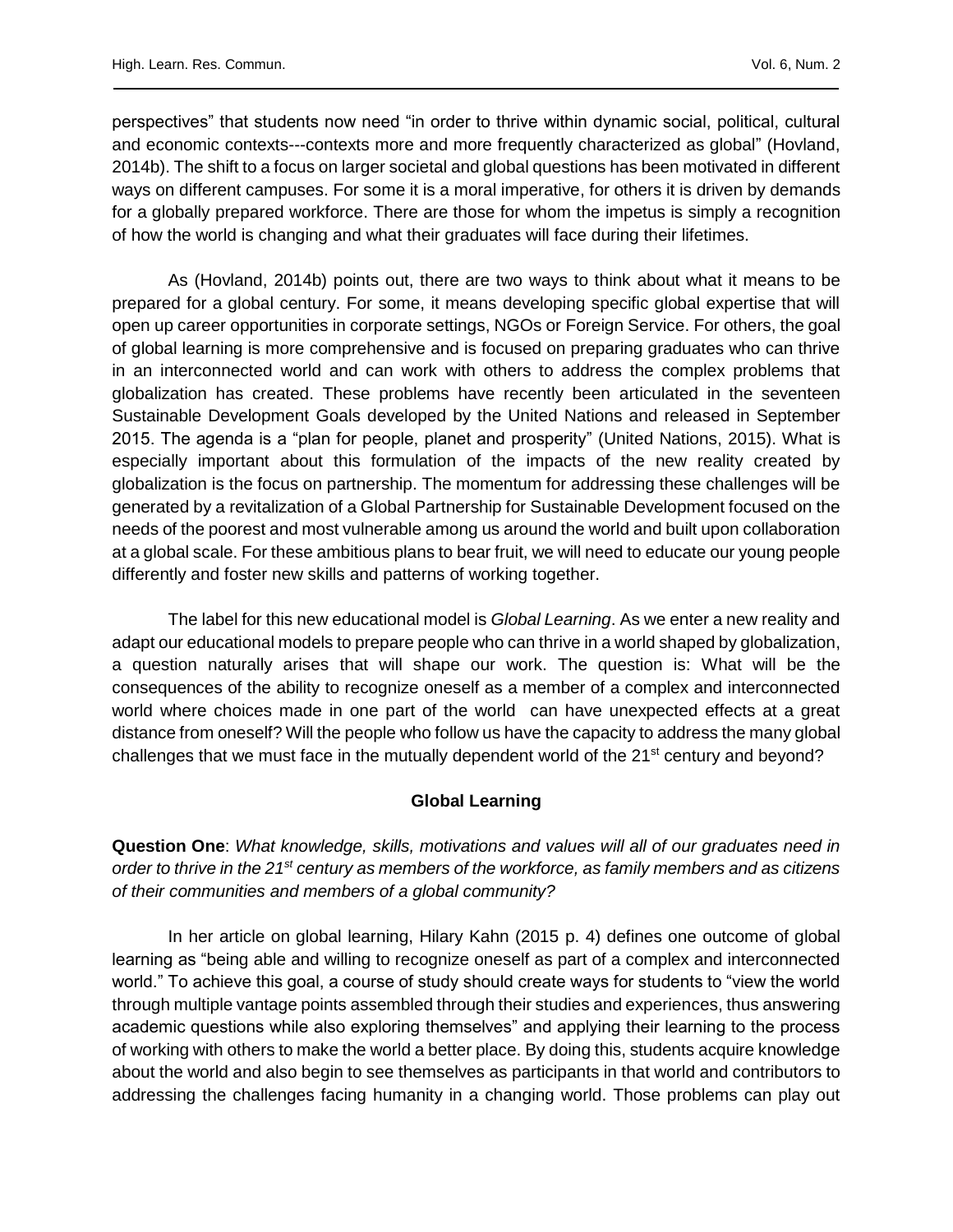perspectives" that students now need "in order to thrive within dynamic social, political, cultural and economic contexts---contexts more and more frequently characterized as global" (Hovland, 2014b). The shift to a focus on larger societal and global questions has been motivated in different ways on different campuses. For some it is a moral imperative, for others it is driven by demands for a globally prepared workforce. There are those for whom the impetus is simply a recognition of how the world is changing and what their graduates will face during their lifetimes.

As (Hovland, 2014b) points out, there are two ways to think about what it means to be prepared for a global century. For some, it means developing specific global expertise that will open up career opportunities in corporate settings, NGOs or Foreign Service. For others, the goal of global learning is more comprehensive and is focused on preparing graduates who can thrive in an interconnected world and can work with others to address the complex problems that globalization has created. These problems have recently been articulated in the seventeen Sustainable Development Goals developed by the United Nations and released in September 2015. The agenda is a "plan for people, planet and prosperity" (United Nations, 2015). What is especially important about this formulation of the impacts of the new reality created by globalization is the focus on partnership. The momentum for addressing these challenges will be generated by a revitalization of a Global Partnership for Sustainable Development focused on the needs of the poorest and most vulnerable among us around the world and built upon collaboration at a global scale. For these ambitious plans to bear fruit, we will need to educate our young people differently and foster new skills and patterns of working together.

The label for this new educational model is *Global Learning*. As we enter a new reality and adapt our educational models to prepare people who can thrive in a world shaped by globalization, a question naturally arises that will shape our work. The question is: What will be the consequences of the ability to recognize oneself as a member of a complex and interconnected world where choices made in one part of the world can have unexpected effects at a great distance from oneself? Will the people who follow us have the capacity to address the many global challenges that we must face in the mutually dependent world of the 21<sup>st</sup> century and beyond?

## **Global Learning**

**Question One**: *What knowledge, skills, motivations and values will all of our graduates need in order to thrive in the 21st century as members of the workforce, as family members and as citizens of their communities and members of a global community?*

In her article on global learning, Hilary Kahn (2015 p. 4) defines one outcome of global learning as "being able and willing to recognize oneself as part of a complex and interconnected world." To achieve this goal, a course of study should create ways for students to "view the world through multiple vantage points assembled through their studies and experiences, thus answering academic questions while also exploring themselves" and applying their learning to the process of working with others to make the world a better place. By doing this, students acquire knowledge about the world and also begin to see themselves as participants in that world and contributors to addressing the challenges facing humanity in a changing world. Those problems can play out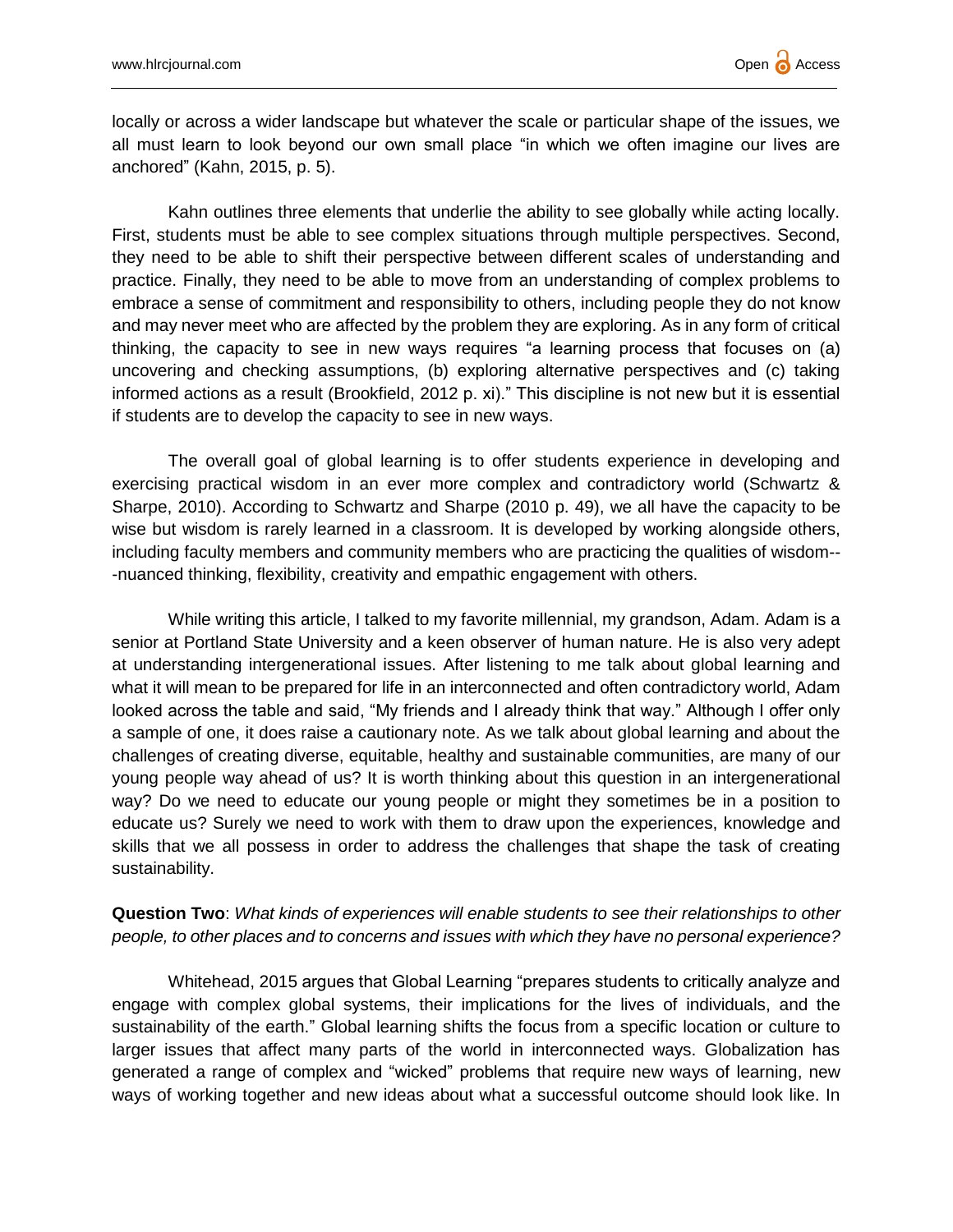locally or across a wider landscape but whatever the scale or particular shape of the issues, we all must learn to look beyond our own small place "in which we often imagine our lives are anchored" (Kahn, 2015, p. 5).

Kahn outlines three elements that underlie the ability to see globally while acting locally. First, students must be able to see complex situations through multiple perspectives. Second, they need to be able to shift their perspective between different scales of understanding and practice. Finally, they need to be able to move from an understanding of complex problems to embrace a sense of commitment and responsibility to others, including people they do not know and may never meet who are affected by the problem they are exploring. As in any form of critical thinking, the capacity to see in new ways requires "a learning process that focuses on (a) uncovering and checking assumptions, (b) exploring alternative perspectives and (c) taking informed actions as a result (Brookfield, 2012 p. xi)." This discipline is not new but it is essential if students are to develop the capacity to see in new ways.

The overall goal of global learning is to offer students experience in developing and exercising practical wisdom in an ever more complex and contradictory world (Schwartz & Sharpe, 2010). According to Schwartz and Sharpe (2010 p. 49), we all have the capacity to be wise but wisdom is rarely learned in a classroom. It is developed by working alongside others, including faculty members and community members who are practicing the qualities of wisdom-- -nuanced thinking, flexibility, creativity and empathic engagement with others.

While writing this article, I talked to my favorite millennial, my grandson, Adam. Adam is a senior at Portland State University and a keen observer of human nature. He is also very adept at understanding intergenerational issues. After listening to me talk about global learning and what it will mean to be prepared for life in an interconnected and often contradictory world, Adam looked across the table and said, "My friends and I already think that way." Although I offer only a sample of one, it does raise a cautionary note. As we talk about global learning and about the challenges of creating diverse, equitable, healthy and sustainable communities, are many of our young people way ahead of us? It is worth thinking about this question in an intergenerational way? Do we need to educate our young people or might they sometimes be in a position to educate us? Surely we need to work with them to draw upon the experiences, knowledge and skills that we all possess in order to address the challenges that shape the task of creating sustainability.

# **Question Two**: *What kinds of experiences will enable students to see their relationships to other people, to other places and to concerns and issues with which they have no personal experience?*

Whitehead, 2015 argues that Global Learning "prepares students to critically analyze and engage with complex global systems, their implications for the lives of individuals, and the sustainability of the earth." Global learning shifts the focus from a specific location or culture to larger issues that affect many parts of the world in interconnected ways. Globalization has generated a range of complex and "wicked" problems that require new ways of learning, new ways of working together and new ideas about what a successful outcome should look like. In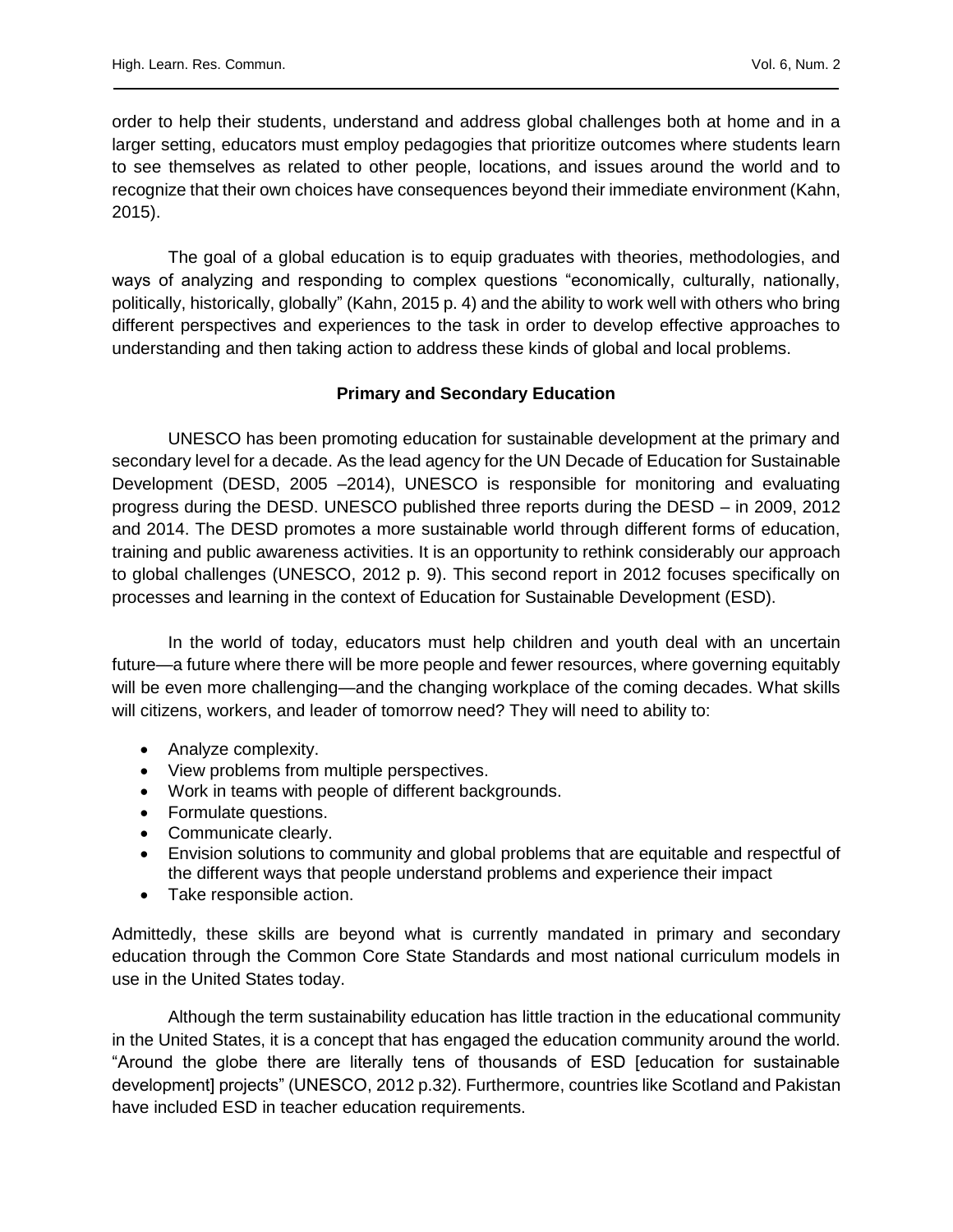order to help their students, understand and address global challenges both at home and in a larger setting, educators must employ pedagogies that prioritize outcomes where students learn to see themselves as related to other people, locations, and issues around the world and to recognize that their own choices have consequences beyond their immediate environment (Kahn, 2015).

The goal of a global education is to equip graduates with theories, methodologies, and ways of analyzing and responding to complex questions "economically, culturally, nationally, politically, historically, globally" (Kahn, 2015 p. 4) and the ability to work well with others who bring different perspectives and experiences to the task in order to develop effective approaches to understanding and then taking action to address these kinds of global and local problems.

### **Primary and Secondary Education**

UNESCO has been promoting education for sustainable development at the primary and secondary level for a decade. As the lead agency for the UN Decade of Education for Sustainable Development (DESD, 2005 –2014), UNESCO is responsible for monitoring and evaluating progress during the DESD. UNESCO published three reports during the DESD – in 2009, 2012 and 2014. The DESD promotes a more sustainable world through different forms of education, training and public awareness activities. It is an opportunity to rethink considerably our approach to global challenges (UNESCO, 2012 p. 9). This second report in 2012 focuses specifically on processes and learning in the context of Education for Sustainable Development (ESD).

In the world of today, educators must help children and youth deal with an uncertain future—a future where there will be more people and fewer resources, where governing equitably will be even more challenging—and the changing workplace of the coming decades. What skills will citizens, workers, and leader of tomorrow need? They will need to ability to:

- Analyze complexity.
- View problems from multiple perspectives.
- Work in teams with people of different backgrounds.
- Formulate questions.
- Communicate clearly.
- Envision solutions to community and global problems that are equitable and respectful of the different ways that people understand problems and experience their impact
- Take responsible action.

Admittedly, these skills are beyond what is currently mandated in primary and secondary education through the Common Core State Standards and most national curriculum models in use in the United States today.

Although the term sustainability education has little traction in the educational community in the United States, it is a concept that has engaged the education community around the world. "Around the globe there are literally tens of thousands of ESD [education for sustainable development] projects" (UNESCO, 2012 p.32). Furthermore, countries like Scotland and Pakistan have included ESD in teacher education requirements.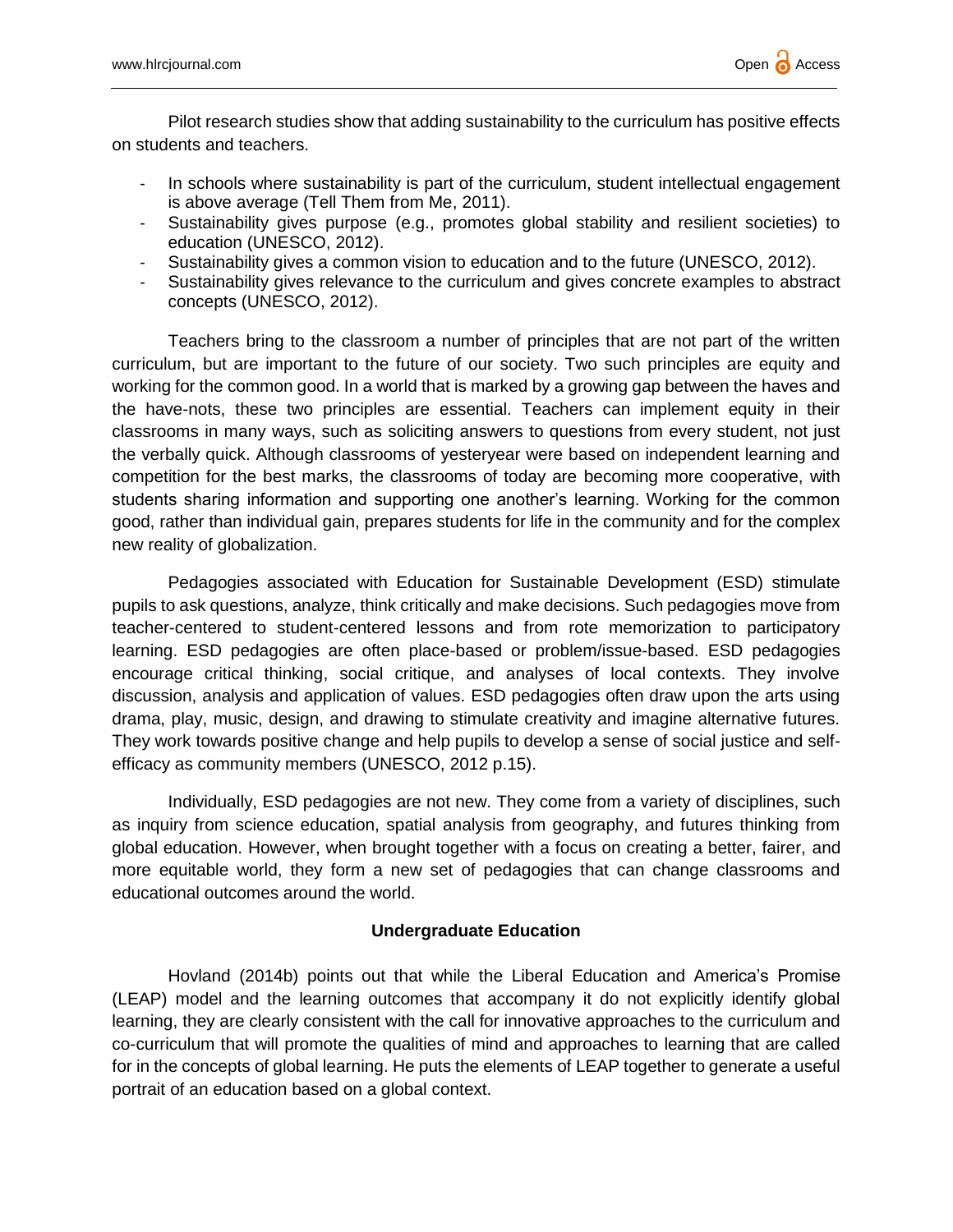Pilot research studies show that adding sustainability to the curriculum has positive effects on students and teachers.

- In schools where sustainability is part of the curriculum, student intellectual engagement is above average (Tell Them from Me, 2011).
- Sustainability gives purpose (e.g., promotes global stability and resilient societies) to education (UNESCO, 2012).
- Sustainability gives a common vision to education and to the future (UNESCO, 2012).
- Sustainability gives relevance to the curriculum and gives concrete examples to abstract concepts (UNESCO, 2012).

Teachers bring to the classroom a number of principles that are not part of the written curriculum, but are important to the future of our society. Two such principles are equity and working for the common good. In a world that is marked by a growing gap between the haves and the have-nots, these two principles are essential. Teachers can implement equity in their classrooms in many ways, such as soliciting answers to questions from every student, not just the verbally quick. Although classrooms of yesteryear were based on independent learning and competition for the best marks, the classrooms of today are becoming more cooperative, with students sharing information and supporting one another's learning. Working for the common good, rather than individual gain, prepares students for life in the community and for the complex new reality of globalization.

Pedagogies associated with Education for Sustainable Development (ESD) stimulate pupils to ask questions, analyze, think critically and make decisions. Such pedagogies move from teacher-centered to student-centered lessons and from rote memorization to participatory learning. ESD pedagogies are often place-based or problem/issue-based. ESD pedagogies encourage critical thinking, social critique, and analyses of local contexts. They involve discussion, analysis and application of values. ESD pedagogies often draw upon the arts using drama, play, music, design, and drawing to stimulate creativity and imagine alternative futures. They work towards positive change and help pupils to develop a sense of social justice and selfefficacy as community members (UNESCO, 2012 p.15).

Individually, ESD pedagogies are not new. They come from a variety of disciplines, such as inquiry from science education, spatial analysis from geography, and futures thinking from global education. However, when brought together with a focus on creating a better, fairer, and more equitable world, they form a new set of pedagogies that can change classrooms and educational outcomes around the world.

## **Undergraduate Education**

Hovland (2014b) points out that while the Liberal Education and America's Promise (LEAP) model and the learning outcomes that accompany it do not explicitly identify global learning, they are clearly consistent with the call for innovative approaches to the curriculum and co-curriculum that will promote the qualities of mind and approaches to learning that are called for in the concepts of global learning. He puts the elements of LEAP together to generate a useful portrait of an education based on a global context.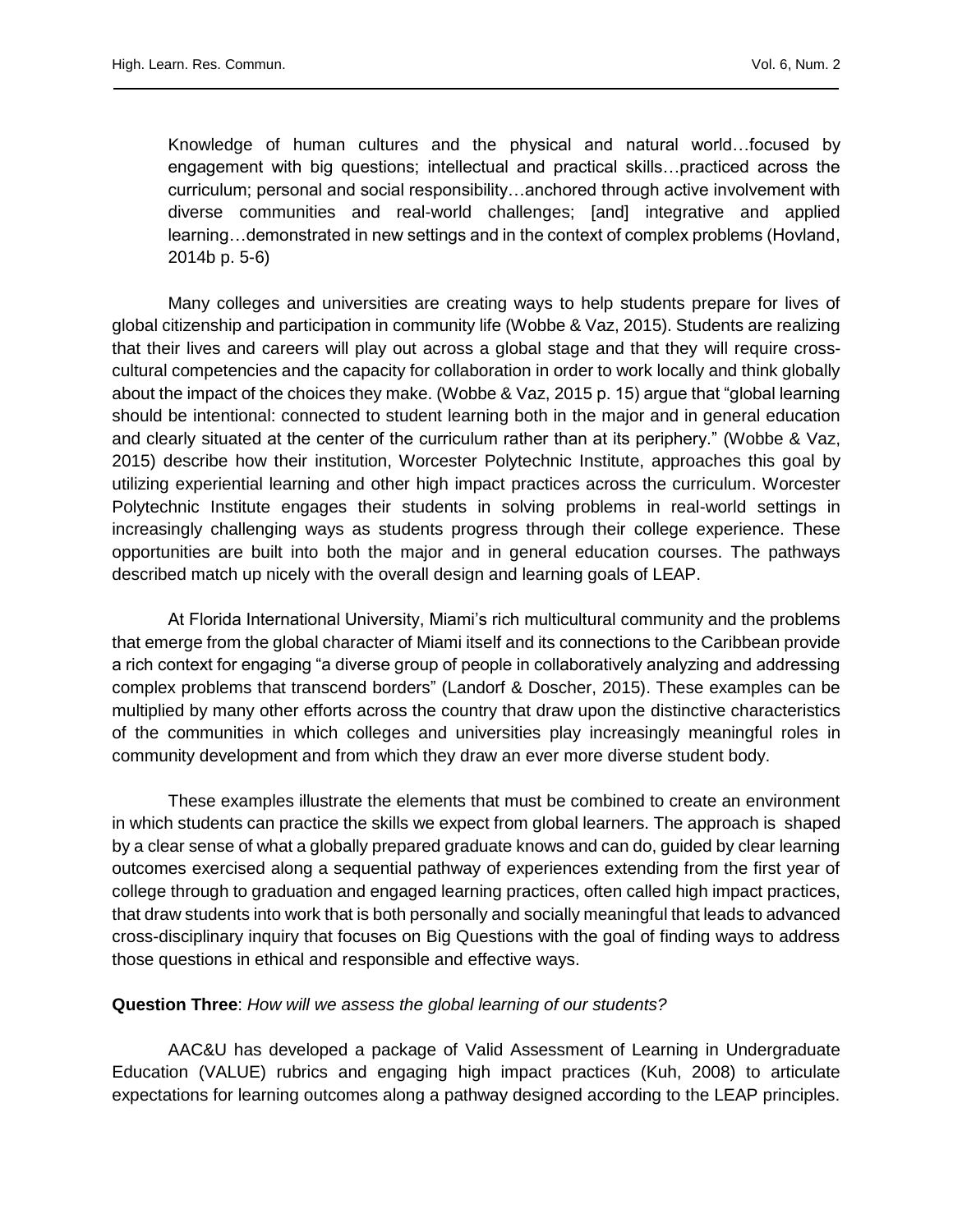Knowledge of human cultures and the physical and natural world…focused by engagement with big questions; intellectual and practical skills…practiced across the curriculum; personal and social responsibility…anchored through active involvement with diverse communities and real-world challenges; [and] integrative and applied learning…demonstrated in new settings and in the context of complex problems (Hovland, 2014b p. 5-6)

Many colleges and universities are creating ways to help students prepare for lives of global citizenship and participation in community life (Wobbe & Vaz, 2015). Students are realizing that their lives and careers will play out across a global stage and that they will require crosscultural competencies and the capacity for collaboration in order to work locally and think globally about the impact of the choices they make. (Wobbe & Vaz, 2015 p. 15) argue that "global learning should be intentional: connected to student learning both in the major and in general education and clearly situated at the center of the curriculum rather than at its periphery." (Wobbe & Vaz, 2015) describe how their institution, Worcester Polytechnic Institute, approaches this goal by utilizing experiential learning and other high impact practices across the curriculum. Worcester Polytechnic Institute engages their students in solving problems in real-world settings in increasingly challenging ways as students progress through their college experience. These opportunities are built into both the major and in general education courses. The pathways described match up nicely with the overall design and learning goals of LEAP.

At Florida International University, Miami's rich multicultural community and the problems that emerge from the global character of Miami itself and its connections to the Caribbean provide a rich context for engaging "a diverse group of people in collaboratively analyzing and addressing complex problems that transcend borders" (Landorf & Doscher, 2015). These examples can be multiplied by many other efforts across the country that draw upon the distinctive characteristics of the communities in which colleges and universities play increasingly meaningful roles in community development and from which they draw an ever more diverse student body.

These examples illustrate the elements that must be combined to create an environment in which students can practice the skills we expect from global learners. The approach is shaped by a clear sense of what a globally prepared graduate knows and can do, guided by clear learning outcomes exercised along a sequential pathway of experiences extending from the first year of college through to graduation and engaged learning practices, often called high impact practices, that draw students into work that is both personally and socially meaningful that leads to advanced cross-disciplinary inquiry that focuses on Big Questions with the goal of finding ways to address those questions in ethical and responsible and effective ways.

## **Question Three**: *How will we assess the global learning of our students?*

AAC&U has developed a package of Valid Assessment of Learning in Undergraduate Education (VALUE) rubrics and engaging high impact practices (Kuh, 2008) to articulate expectations for learning outcomes along a pathway designed according to the LEAP principles.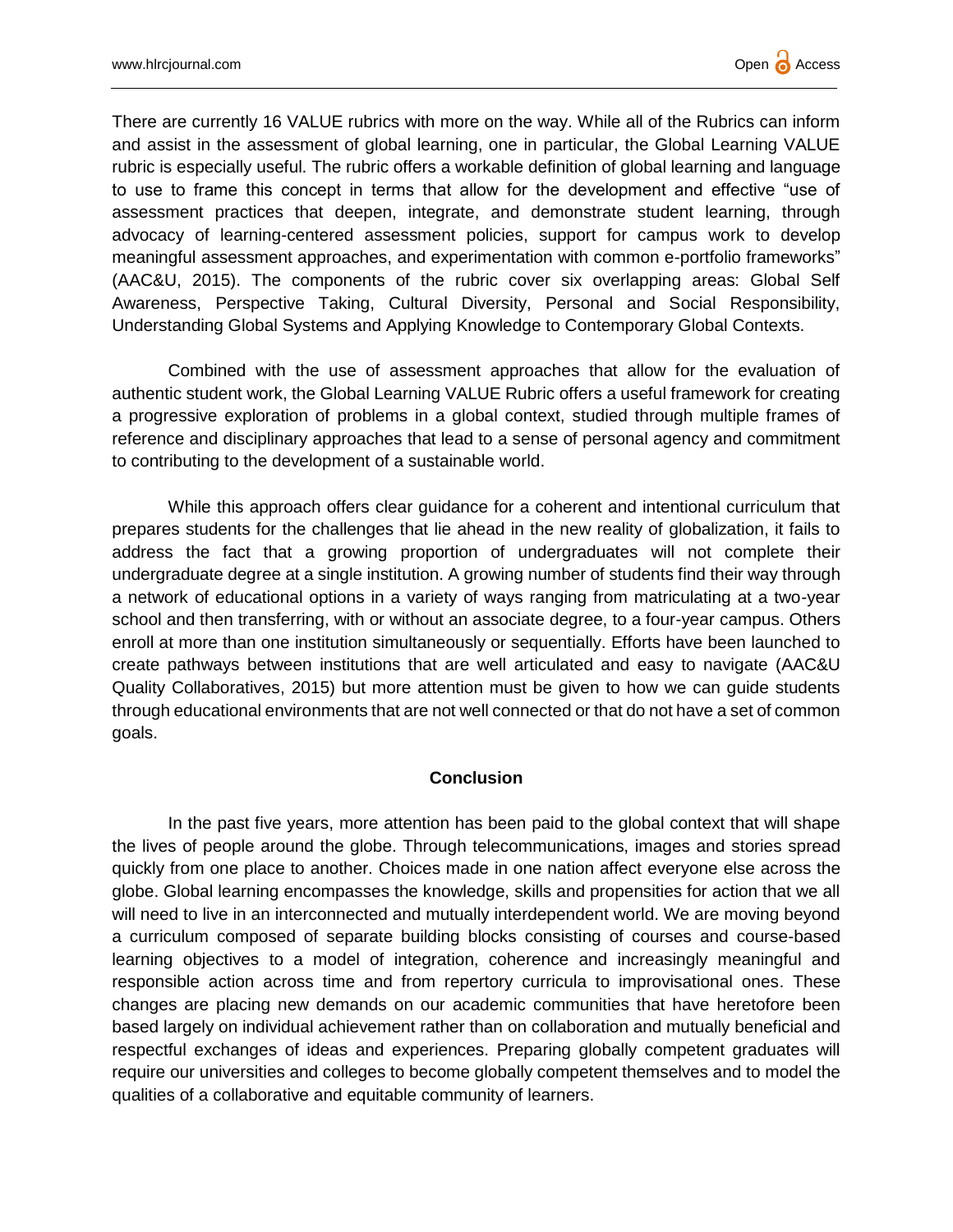There are currently 16 VALUE rubrics with more on the way. While all of the Rubrics can inform and assist in the assessment of global learning, one in particular, the Global Learning VALUE rubric is especially useful. The rubric offers a workable definition of global learning and language to use to frame this concept in terms that allow for the development and effective "use of assessment practices that deepen, integrate, and demonstrate student learning, through advocacy of learning-centered assessment policies, support for campus work to develop meaningful assessment approaches, and experimentation with common e-portfolio frameworks" (AAC&U, 2015). The components of the rubric cover six overlapping areas: Global Self Awareness, Perspective Taking, Cultural Diversity, Personal and Social Responsibility, Understanding Global Systems and Applying Knowledge to Contemporary Global Contexts.

Combined with the use of assessment approaches that allow for the evaluation of authentic student work, the Global Learning VALUE Rubric offers a useful framework for creating a progressive exploration of problems in a global context, studied through multiple frames of reference and disciplinary approaches that lead to a sense of personal agency and commitment to contributing to the development of a sustainable world.

While this approach offers clear guidance for a coherent and intentional curriculum that prepares students for the challenges that lie ahead in the new reality of globalization, it fails to address the fact that a growing proportion of undergraduates will not complete their undergraduate degree at a single institution. A growing number of students find their way through a network of educational options in a variety of ways ranging from matriculating at a two-year school and then transferring, with or without an associate degree, to a four-year campus. Others enroll at more than one institution simultaneously or sequentially. Efforts have been launched to create pathways between institutions that are well articulated and easy to navigate (AAC&U Quality Collaboratives, 2015) but more attention must be given to how we can guide students through educational environments that are not well connected or that do not have a set of common goals.

### **Conclusion**

In the past five years, more attention has been paid to the global context that will shape the lives of people around the globe. Through telecommunications, images and stories spread quickly from one place to another. Choices made in one nation affect everyone else across the globe. Global learning encompasses the knowledge, skills and propensities for action that we all will need to live in an interconnected and mutually interdependent world. We are moving beyond a curriculum composed of separate building blocks consisting of courses and course-based learning objectives to a model of integration, coherence and increasingly meaningful and responsible action across time and from repertory curricula to improvisational ones. These changes are placing new demands on our academic communities that have heretofore been based largely on individual achievement rather than on collaboration and mutually beneficial and respectful exchanges of ideas and experiences. Preparing globally competent graduates will require our universities and colleges to become globally competent themselves and to model the qualities of a collaborative and equitable community of learners.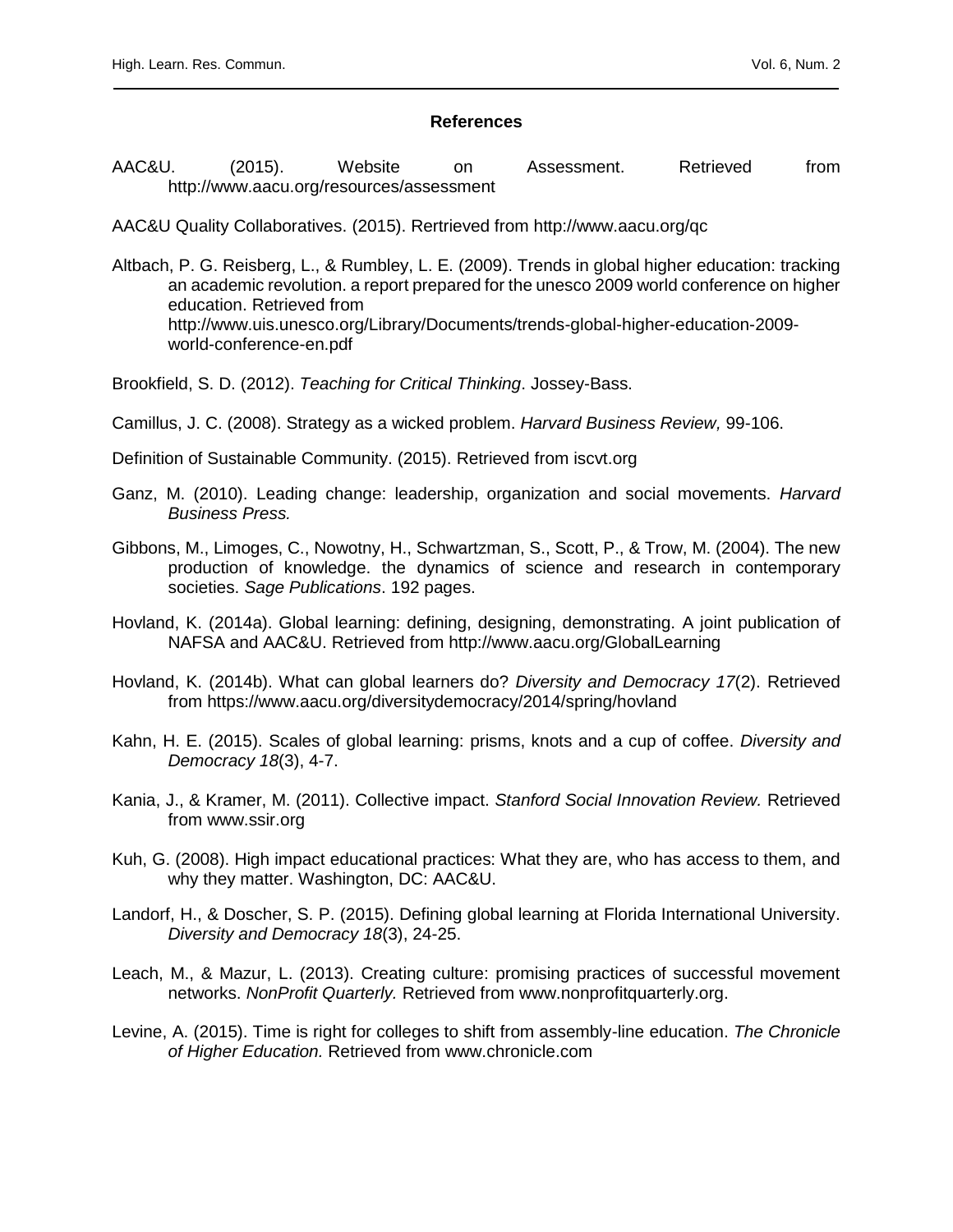#### **References**

AAC&U. (2015). Website on Assessment. Retrieved from http://www.aacu.org/resources/assessment

AAC&U Quality Collaboratives. (2015). Rertrieved from http://www.aacu.org/qc

Altbach, P. G. Reisberg, L., & Rumbley, L. E. (2009). Trends in global higher education: tracking an academic revolution. a report prepared for the unesco 2009 world conference on higher education. Retrieved from http://www.uis.unesco.org/Library/Documents/trends-global-higher-education-2009 world-conference-en.pdf

Brookfield, S. D. (2012). *Teaching for Critical Thinking*. Jossey-Bass.

- Camillus, J. C. (2008). Strategy as a wicked problem. *Harvard Business Review,* 99-106.
- Definition of Sustainable Community. (2015). Retrieved from iscvt.org
- Ganz, M. (2010). Leading change: leadership, organization and social movements. *Harvard Business Press.*
- Gibbons, M., Limoges, C., Nowotny, H., Schwartzman, S., Scott, P., & Trow, M. (2004). The new production of knowledge. the dynamics of science and research in contemporary societies. *Sage Publications*. 192 pages.
- Hovland, K. (2014a). Global learning: defining, designing, demonstrating. A joint publication of NAFSA and AAC&U. Retrieved from http://www.aacu.org/GlobalLearning
- Hovland, K. (2014b). What can global learners do? *Diversity and Democracy 17*(2). Retrieved from https://www.aacu.org/diversitydemocracy/2014/spring/hovland
- Kahn, H. E. (2015). Scales of global learning: prisms, knots and a cup of coffee. *Diversity and Democracy 18*(3), 4-7.
- Kania, J., & Kramer, M. (2011). Collective impact. *Stanford Social Innovation Review.* Retrieved from www.ssir.org
- Kuh, G. (2008). High impact educational practices: What they are, who has access to them, and why they matter. Washington, DC: AAC&U.
- Landorf, H., & Doscher, S. P. (2015). Defining global learning at Florida International University. *Diversity and Democracy 18*(3), 24-25.
- Leach, M., & Mazur, L. (2013). Creating culture: promising practices of successful movement networks. *NonProfit Quarterly.* Retrieved from www.nonprofitquarterly.org.
- Levine, A. (2015). Time is right for colleges to shift from assembly-line education. *The Chronicle of Higher Education.* Retrieved from www.chronicle.com